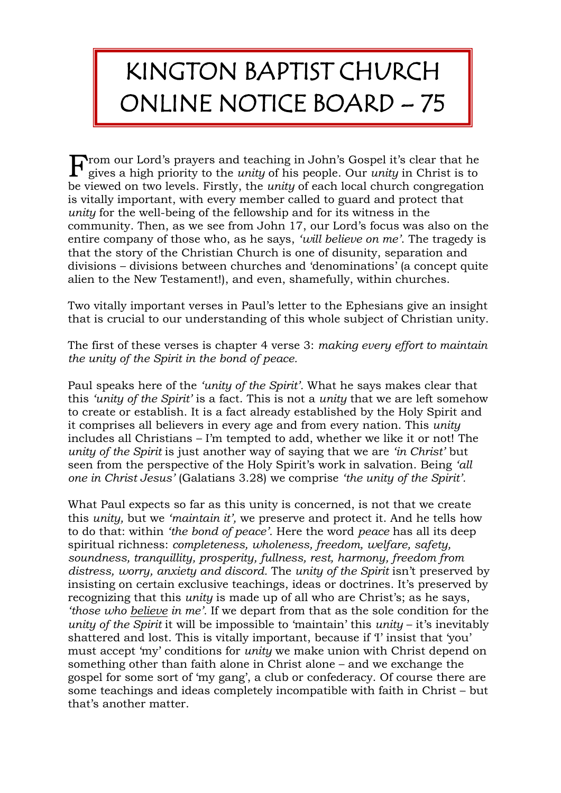## KINGTON BAPTIST CHURCH ONLINE NOTICE BOARD – 75

 $\mathbf{F}$  rom our Lord's prayers and teaching in John's Gospel it's clear that he gives a high priority to the *unity* of his people. Our *unity* in Christ is to gives a high priority to the *unity* of his people. Our *unity* in Christ is to be viewed on two levels. Firstly, the *unity* of each local church congregation is vitally important, with every member called to guard and protect that *unity* for the well-being of the fellowship and for its witness in the community. Then, as we see from John 17, our Lord's focus was also on the entire company of those who, as he says, *'will believe on me'*. The tragedy is that the story of the Christian Church is one of disunity, separation and divisions – divisions between churches and 'denominations' (a concept quite alien to the New Testament!), and even, shamefully, within churches.

Two vitally important verses in Paul's letter to the Ephesians give an insight that is crucial to our understanding of this whole subject of Christian unity.

The first of these verses is chapter 4 verse 3: *making every effort to maintain the unity of the Spirit in the bond of peace.*

Paul speaks here of the *'unity of the Spirit'.* What he says makes clear that this *'unity of the Spirit'* is a fact. This is not a *unity* that we are left somehow to create or establish. It is a fact already established by the Holy Spirit and it comprises all believers in every age and from every nation. This *unity* includes all Christians – I'm tempted to add, whether we like it or not! The *unity of the Spirit* is just another way of saying that we are *'in Christ'* but seen from the perspective of the Holy Spirit's work in salvation. Being *'all one in Christ Jesus'* (Galatians 3.28) we comprise *'the unity of the Spirit'.*

What Paul expects so far as this unity is concerned, is not that we create this *unity,* but we *'maintain it',* we preserve and protect it. And he tells how to do that: within *'the bond of peace'.* Here the word *peace* has all its deep spiritual richness: *completeness, wholeness, freedom, welfare, safety, soundness, tranquillity, prosperity, fullness, rest, harmony, freedom from distress, worry, anxiety and discord.* The *unity of the Spirit* isn't preserved by insisting on certain exclusive teachings, ideas or doctrines. It's preserved by recognizing that this *unity* is made up of all who are Christ's; as he says, *'those who believe in me'.* If we depart from that as the sole condition for the *unity of the Spirit* it will be impossible to 'maintain' this *unity* – it's inevitably shattered and lost. This is vitally important, because if 'I' insist that 'you' must accept 'my' conditions for *unity* we make union with Christ depend on something other than faith alone in Christ alone – and we exchange the gospel for some sort of 'my gang', a club or confederacy. Of course there are some teachings and ideas completely incompatible with faith in Christ – but that's another matter.